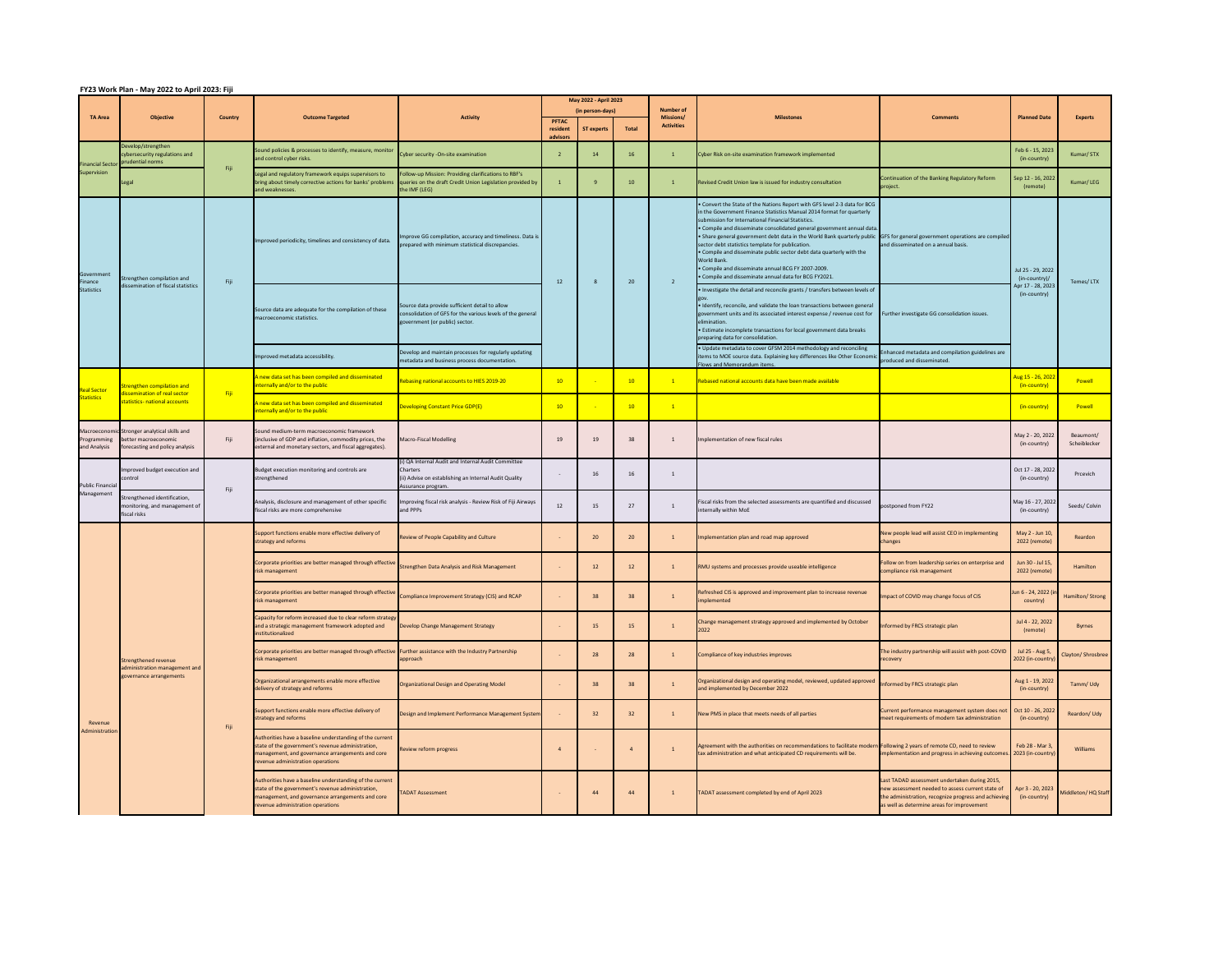## **FY23 Work Plan - May 2022 to April 2023: Fiji**

|                                         |                                                                                                         |         |                                                                                                                                                                                                        |                                                                                                                                                | May 2022 - April 2023                |                                       |              |                                                    |                                                                                                                                                                                                                                                                                                                                                                                                                                                                                                                                                                                                                                                                            |                                                                                                                                                                                                         |                                                                         |                           |
|-----------------------------------------|---------------------------------------------------------------------------------------------------------|---------|--------------------------------------------------------------------------------------------------------------------------------------------------------------------------------------------------------|------------------------------------------------------------------------------------------------------------------------------------------------|--------------------------------------|---------------------------------------|--------------|----------------------------------------------------|----------------------------------------------------------------------------------------------------------------------------------------------------------------------------------------------------------------------------------------------------------------------------------------------------------------------------------------------------------------------------------------------------------------------------------------------------------------------------------------------------------------------------------------------------------------------------------------------------------------------------------------------------------------------------|---------------------------------------------------------------------------------------------------------------------------------------------------------------------------------------------------------|-------------------------------------------------------------------------|---------------------------|
| <b>TA Area</b>                          | <b>Objective</b>                                                                                        | Country | <b>Outcome Targeted</b>                                                                                                                                                                                | <b>Activity</b>                                                                                                                                | <b>PFTAC</b><br>resident<br>advisors | (in person-days)<br><b>ST experts</b> | <b>Total</b> | <b>Number of</b><br>Missions/<br><b>Activities</b> | <b>Milestones</b>                                                                                                                                                                                                                                                                                                                                                                                                                                                                                                                                                                                                                                                          | <b>Comments</b>                                                                                                                                                                                         | <b>Planned Date</b>                                                     | <b>Experts</b>            |
| <b>Financial Sector</b><br>Supervision  | Develop/strengthen<br>cybersecurity regulations and<br>prudential norms                                 | Fiji    | Sound policies & processes to identify, measure, monitor<br>and control cyber risks.                                                                                                                   | Cyber security - On-site examination                                                                                                           |                                      | 14                                    | 16           |                                                    | Cyber Risk on-site examination framework implemented                                                                                                                                                                                                                                                                                                                                                                                                                                                                                                                                                                                                                       |                                                                                                                                                                                                         | Feb 6 - 15, 2023<br>(in-country)                                        | Kumar/STX                 |
|                                         | Legal                                                                                                   |         | Legal and regulatory framework equips supervisors to<br>bring about timely corrective actions for banks' problems<br>and weaknesses.                                                                   | Follow-up Mission: Providing clarifications to RBF's<br>queries on the draft Credit Union Legislation provided by<br>the IMF (LEG)             |                                      |                                       | 10           |                                                    | Revised Credit Union law is issued for industry consultation                                                                                                                                                                                                                                                                                                                                                                                                                                                                                                                                                                                                               | Continuation of the Banking Regulatory Reform<br>project.                                                                                                                                               | Sep 12 - 16, 2022<br>(remote)                                           | Kumar/LEG                 |
| Government<br>Finance<br>Statistics     | Strengthen compilation and<br>dissemination of fiscal statistics                                        | Fiji    | Improved periodicity, timelines and consistency of data.                                                                                                                                               | mprove GG compilation, accuracy and timeliness. Data is<br>prepared with minimum statistical discrepancies.                                    | 12                                   |                                       | 20           |                                                    | . Convert the State of the Nations Report with GFS level 2-3 data for BCG<br>in the Government Finance Statistics Manual 2014 format for quarterly<br>submission for International Financial Statistics.<br>• Compile and disseminate consolidated general government annual data.<br>• Share general government debt data in the World Bank quarterly public GFS for general government operations are compiled<br>sector debt statistics template for publication.<br>• Compile and disseminate public sector debt data quarterly with the<br>World Bank.<br>• Compile and disseminate annual BCG FY 2007-2009.<br>• Compile and disseminate annual data for BCG FY2021. | and disseminated on a annual basis.                                                                                                                                                                     | Jul 25 - 29, 2022<br>(in-country)/<br>Apr 17 - 28, 2023<br>(in-country) | Temes/LTX                 |
|                                         |                                                                                                         |         | Source data are adequate for the compilation of these<br>macroeconomic statistics.                                                                                                                     | Source data provide sufficient detail to allow<br>consolidation of GFS for the various levels of the general<br>government (or public) sector. |                                      |                                       |              |                                                    | . Investigate the detail and reconcile grants / transfers between levels of<br>· Identify, reconcile, and validate the loan transactions between general<br>government units and its associated interest expense / revenue cost for<br>elimination.<br>• Estimate incomplete transactions for local government data breaks<br>preparing data for consolidation.                                                                                                                                                                                                                                                                                                            | Further investigate GG consolidation issues.                                                                                                                                                            |                                                                         |                           |
|                                         |                                                                                                         |         | Improved metadata accessibility.                                                                                                                                                                       | Develop and maintain processes for regularly updating<br>metadata and business process documentation.                                          |                                      |                                       |              |                                                    | . Update metadata to cover GFSM 2014 methodology and reconciling<br>items to MOE source data. Explaining key differences like Other Econom<br>Flows and Memorandum items.                                                                                                                                                                                                                                                                                                                                                                                                                                                                                                  | Enhanced metadata and compilation guidelines are<br>produced and disseminated.                                                                                                                          |                                                                         |                           |
| <b>Real Sector</b><br><b>Statistics</b> | Strengthen compilation and<br>dissemination of real sector<br>statistics- national accounts             | Fiji    | A new data set has been compiled and disseminated<br>internally and/or to the public                                                                                                                   | ebasing national accounts to HIES 2019-20                                                                                                      | 10                                   |                                       | 10           | $\mathbf{1}$                                       | Rebased national accounts data have been made available                                                                                                                                                                                                                                                                                                                                                                                                                                                                                                                                                                                                                    |                                                                                                                                                                                                         | Aug 15 - 26, 2022<br>(in-country)                                       | Powell                    |
|                                         |                                                                                                         |         | A new data set has been compiled and disseminated<br>internally and/or to the public                                                                                                                   | <b>Developing Constant Price GDP(E)</b>                                                                                                        | 10                                   |                                       | 10           | $\mathbf{1}$                                       |                                                                                                                                                                                                                                                                                                                                                                                                                                                                                                                                                                                                                                                                            |                                                                                                                                                                                                         | (in-country)                                                            | Powell                    |
| Programming<br>and Analysis             | Macroeconomic Stronger analytical skills and<br>better macroeconomic<br>forecasting and policy analysis | Fiji    | Sound medium-term macroeconomic framework<br>(inclusive of GDP and inflation, commodity prices, the<br>external and monetary sectors, and fiscal aggregates).                                          | Macro-Fiscal Modelling                                                                                                                         | 19                                   | 19                                    | 38           |                                                    | Implementation of new fiscal rules                                                                                                                                                                                                                                                                                                                                                                                                                                                                                                                                                                                                                                         |                                                                                                                                                                                                         | May 2 - 20, 2022<br>(in-country)                                        | Beaumont/<br>Scheiblecker |
| <b>Public Financial</b><br>Management   | Improved budget execution and<br>control                                                                | Fiji    | Budget execution monitoring and controls are<br>strengthened                                                                                                                                           | ) QA Internal Audit and Internal Audit Committee<br>Charters<br>ii) Advise on establishing an Internal Audit Quality<br>Assurance program.     |                                      | 16                                    | 16           |                                                    |                                                                                                                                                                                                                                                                                                                                                                                                                                                                                                                                                                                                                                                                            |                                                                                                                                                                                                         | Oct 17 - 28, 2022<br>(in-country)                                       | Prcevich                  |
|                                         | Strengthened identification,<br>monitoring, and management of<br>fiscal risks                           |         | Analysis, disclosure and management of other specific<br>fiscal risks are more comprehensive                                                                                                           | mproving fiscal risk analysis - Review Risk of Fiji Airways<br>and PPPs                                                                        | 12                                   | 15                                    | 27           |                                                    | Fiscal risks from the selected assessments are quantified and discussed<br>internally within MoE                                                                                                                                                                                                                                                                                                                                                                                                                                                                                                                                                                           | postponed from FY22                                                                                                                                                                                     | May 16 - 27, 2022<br>(in-country)                                       | Seeds/Colvin              |
| Revenue<br>Administration               | <b>Strengthened revenue</b><br>administration management and<br>governance arrangements                 | Fiji    | Support functions enable more effective delivery of<br>strategy and reforms                                                                                                                            | Review of People Capability and Culture                                                                                                        |                                      | 20 <sup>°</sup>                       | 20           |                                                    | Implementation plan and road map approved                                                                                                                                                                                                                                                                                                                                                                                                                                                                                                                                                                                                                                  | New people lead will assist CEO in implementing<br>changes                                                                                                                                              | May 2 - Jun 10,<br>2022 (remote)                                        | Reardon                   |
|                                         |                                                                                                         |         | Corporate priorities are better managed through effective<br>risk management                                                                                                                           | Strengthen Data Analysis and Risk Management                                                                                                   |                                      | 12                                    | 12           |                                                    | RMU systems and processes provide useable intelligence                                                                                                                                                                                                                                                                                                                                                                                                                                                                                                                                                                                                                     | Follow on from leadership series on enterprise and<br>compliance risk management                                                                                                                        | Jun 30 - Jul 15<br>2022 (remote)                                        | Hamilton                  |
|                                         |                                                                                                         |         | Corporate priorities are better managed through effective<br>risk management                                                                                                                           | Compliance Improvement Strategy (CIS) and RCAP                                                                                                 |                                      | 38                                    |              |                                                    | Refreshed CIS is approved and improvement plan to increase revenue<br>implemented                                                                                                                                                                                                                                                                                                                                                                                                                                                                                                                                                                                          | Impact of COVID may change focus of CIS                                                                                                                                                                 | Jun 6 - 24, 2022 (in<br>country)                                        | Hamilton/Strong           |
|                                         |                                                                                                         |         | Capacity for reform increased due to clear reform strategy<br>and a strategic management framework adopted and<br>institutionalized                                                                    | Develop Change Management Strategy                                                                                                             |                                      | 15                                    | 15           |                                                    | Change management strategy approved and implemented by October                                                                                                                                                                                                                                                                                                                                                                                                                                                                                                                                                                                                             | Informed by FRCS strategic plan                                                                                                                                                                         | Jul 4 - 22, 2022<br>(remote)                                            | <b>Byrnes</b>             |
|                                         |                                                                                                         |         | Corporate priorities are better managed through effective Further assistance with the Industry Partnership<br>risk management                                                                          | approach                                                                                                                                       |                                      | 28                                    | 28           |                                                    | Compliance of key industries improves                                                                                                                                                                                                                                                                                                                                                                                                                                                                                                                                                                                                                                      | The industry partnership will assist with post-COVID<br>recovery                                                                                                                                        | Jul 25 - Aug 5<br>2022 (in-country)                                     | Clayton/Shrosbree         |
|                                         |                                                                                                         |         | Organizational arrangements enable more effective<br>delivery of strategy and reforms                                                                                                                  | Organizational Design and Operating Model                                                                                                      |                                      | 38                                    | 38           |                                                    | Organizational design and operating model, reviewed, updated approved<br>and implemented by December 2022                                                                                                                                                                                                                                                                                                                                                                                                                                                                                                                                                                  | Informed by FRCS strategic plan                                                                                                                                                                         | Aug 1 - 19, 2022<br>(in-country)                                        | Tamm/Udy                  |
|                                         |                                                                                                         |         | Support functions enable more effective delivery of<br>strategy and reforms                                                                                                                            | Design and Implement Performance Management System                                                                                             |                                      | 32                                    | 32           |                                                    | New PMS in place that meets needs of all parties                                                                                                                                                                                                                                                                                                                                                                                                                                                                                                                                                                                                                           | Current performance management system does not<br>meet requirements of modern tax administration                                                                                                        | Oct 10 - 26, 2022<br>(in-country)                                       | Reardon/Udy               |
|                                         |                                                                                                         |         | Authorities have a baseline understanding of the current<br>state of the government's revenue administration,<br>management, and governance arrangements and core<br>revenue administration operations | eview reform progress                                                                                                                          |                                      |                                       |              |                                                    | Agreement with the authorities on recommendations to facilitate modern Following 2 years of remote CD, need to review<br>tax administration and what anticipated CD requirements will be.                                                                                                                                                                                                                                                                                                                                                                                                                                                                                  | implementation and progress in achieving outcome.                                                                                                                                                       | Feb 28 - Mar 3,<br>2023 (in-country)                                    | Williams                  |
|                                         |                                                                                                         |         | Authorities have a baseline understanding of the current<br>state of the government's revenue administration,<br>management, and governance arrangements and core<br>revenue administration operations | <b>ADAT Assessment</b>                                                                                                                         |                                      | 44                                    | 44           |                                                    | TADAT assessment completed by end of April 2023                                                                                                                                                                                                                                                                                                                                                                                                                                                                                                                                                                                                                            | Last TADAD assessment undertaken during 2015,<br>new assessment needed to assess current state of<br>the administration, recognize progress and achieving<br>as well as determine areas for improvement | Apr 3 - 20, 2023<br>(in-country)                                        | Middleton/HQ Staff        |